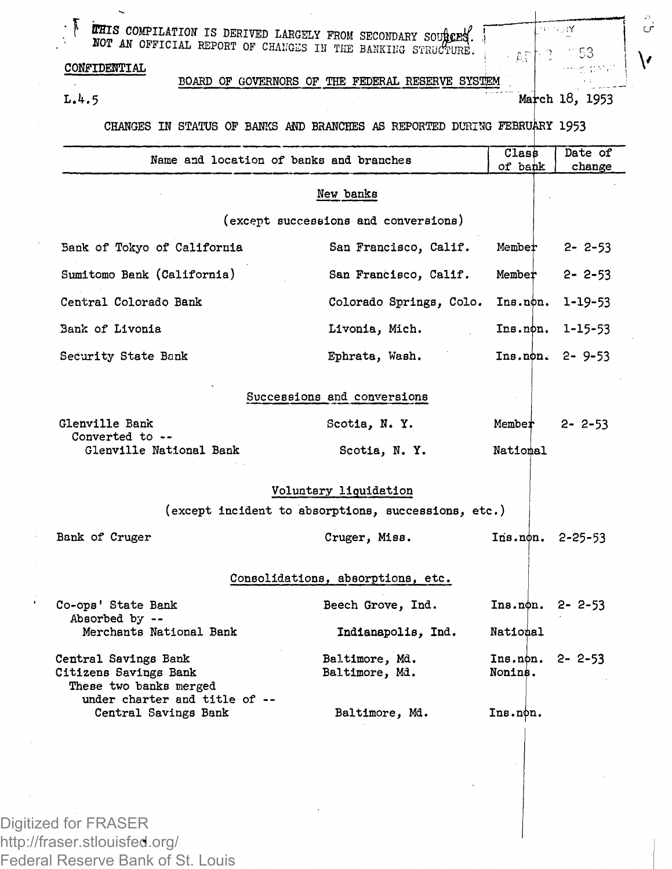**F 4 5 COMPLEATION IS DERIVED LARGELY FROM SECONDARY SOUTAGES. J** NOT AN OFFICIAL REPORT OF CHANGES IN THE BANKING STRUCTURE.

## **CONFIDENTIAL**

 $\bar{\mathbf{z}}$ 

**BOARD OF GOVERNORS OF THE FEDERAL RESERVE SYSTEM**

L.4.5 **March** 18, 1953

758Y

Αf

.<br>م

CHANGES IN STATUS OF BANKS AND BRANCHES AS REPORTED DURING FEBRUARY 1953

| Name and location of banks and branches                                 |                                                     | Class               | Date of       |  |  |  |  |
|-------------------------------------------------------------------------|-----------------------------------------------------|---------------------|---------------|--|--|--|--|
|                                                                         |                                                     | of bank             | change        |  |  |  |  |
|                                                                         | New banks                                           |                     |               |  |  |  |  |
|                                                                         | (except successions and conversions)                |                     |               |  |  |  |  |
| Bank of Tokyo of California                                             | San Francisco, Calif.                               | Member              | $2 - 2 - 53$  |  |  |  |  |
| Sumitomo Bank (California)                                              | San Francisco, Calif.                               | Member              | $2 - 2 - 53$  |  |  |  |  |
| Central Colorado Bank                                                   | Colorado Springs, Colo.                             | Ins.non.            | 1-19-53       |  |  |  |  |
| Bank of Livonia                                                         | Livonia, Mich.                                      | Ins.non.            | $1 - 15 - 53$ |  |  |  |  |
| Security State Bank                                                     | Ephrata, Wash.                                      | Ins.non.            | $2 - 9 - 53$  |  |  |  |  |
|                                                                         | Successions and conversions                         |                     |               |  |  |  |  |
|                                                                         |                                                     |                     |               |  |  |  |  |
| Glenville Bank<br>Converted to --                                       | Scotia, N.Y.                                        | Member              | $2 - 2 - 53$  |  |  |  |  |
| Glenville National Bank                                                 | Scotia, N.Y.                                        | National            |               |  |  |  |  |
|                                                                         | Voluntary liquidation                               |                     |               |  |  |  |  |
|                                                                         | (except incident to absorptions, successions, etc.) |                     |               |  |  |  |  |
| Bank of Cruger                                                          | Cruger, Miss.                                       | Ins.non.            | $2 - 25 - 53$ |  |  |  |  |
| Consolidations, absorptions, etc.                                       |                                                     |                     |               |  |  |  |  |
| Co-ops' State Bank                                                      | Beech Grove, Ind.                                   | Ins.non. 2-2-53     |               |  |  |  |  |
| Absorbed by --<br>Merchants National Bank                               | Indianapolis, Ind.                                  | National            |               |  |  |  |  |
| Central Savings Bank<br>Citizens Savings Bank<br>These two banks merged | Baltimore, Md.<br>Baltimore, Md.                    | Ins.non.<br>Nonins. | $2 - 2 - 53$  |  |  |  |  |
| under charter and title of --<br>Central Savings Bank                   | Baltimore, Md.                                      | Ins.non.            |               |  |  |  |  |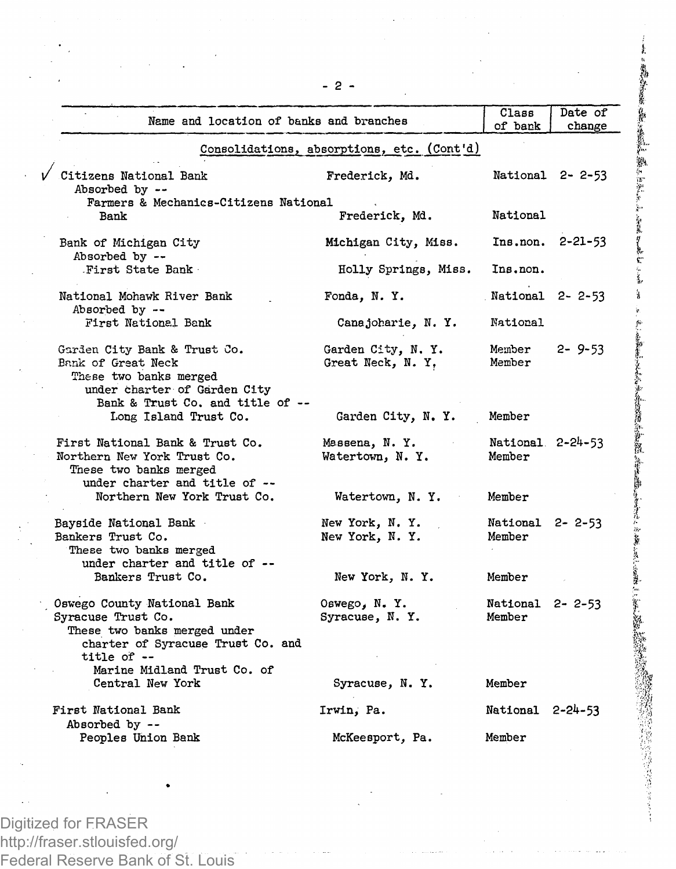|                                                                                                                                                                      |                                            | Class                      | Date of          |
|----------------------------------------------------------------------------------------------------------------------------------------------------------------------|--------------------------------------------|----------------------------|------------------|
| Name and location of banks and branches                                                                                                                              |                                            | of bank                    | change           |
|                                                                                                                                                                      | Consolidations, absorptions, etc. (Cont'd) |                            |                  |
| $\sqrt{\phantom{a}}$ Citizens National Bank<br>Absorbed by --                                                                                                        | Frederick, Md.                             |                            | National 2-2-53  |
| Farmers & Mechanics-Citizens National<br>Bank                                                                                                                        | Frederick, Md.                             | National                   |                  |
| Bank of Michigan City<br>Absorbed by --                                                                                                                              | Michigan City, Miss.                       |                            | Ins.non. 2-21-53 |
| First State Bank                                                                                                                                                     | Holly Springs, Miss.                       | Ins.non.                   |                  |
| National Mohawk River Bank<br>Absorbed by --                                                                                                                         | Fonda, N.Y.                                | National 2-2-53            |                  |
| First National Bank                                                                                                                                                  | Canajoharie, N.Y.                          | National                   |                  |
| Garden City Bank & Trust Co.<br>Bank of Great Neck<br>These two banks merged<br>under charter of Garden City<br>Bank & Trust Co. and title of --                     | Garden City, N. Y.<br>Great Neck, N.Y.     | Member<br>Member           | $2 - 9 - 53$     |
| Long Island Trust Co.                                                                                                                                                | Garden City, N.Y.                          | Member                     |                  |
| First National Bank & Trust Co.<br>Northern New York Trust Co.<br>These two banks merged<br>under charter and title of --                                            | Massena, N.Y.<br>Watertown, N.Y.           | National 2-24-53<br>Member |                  |
| Northern New York Trust Co.                                                                                                                                          | Watertown, N.Y.                            | Member                     |                  |
| Bayside National Bank<br>Bankers Trust Co.<br>These two banks merged<br>under charter and title of --                                                                | New York, N. Y.<br>New York, N.Y.          | National 2-2-53<br>Member  |                  |
| Bankers Trust Co.                                                                                                                                                    | New York, N.Y.                             | Member                     |                  |
| Oswego County National Bank<br>Syracuse Trust Co.<br>These two banks merged under<br>charter of Syracuse Trust Co. and<br>title of --<br>Marine Midland Trust Co. of | Oswego, N. Y.<br>Syracuse, N.Y.            | National 2-2-53<br>Member  |                  |
| Central New York                                                                                                                                                     | Syracuse, N.Y.                             | Member                     |                  |
| First National Bank<br>Absorbed by --                                                                                                                                | Irwin, Pa.                                 | National 2-24-53           |                  |
| Peoples Union Bank                                                                                                                                                   | McKeesport, Pa.                            | Member                     |                  |

「我的学生の最近のある」「ある」「アントン」と言うといい

を受けたことに、今回のお客様のお客様のお客様のあると、そのお客様のあると、そのお客様のおよびのお客様のお客様のおおかい

医心室病院 医皮肤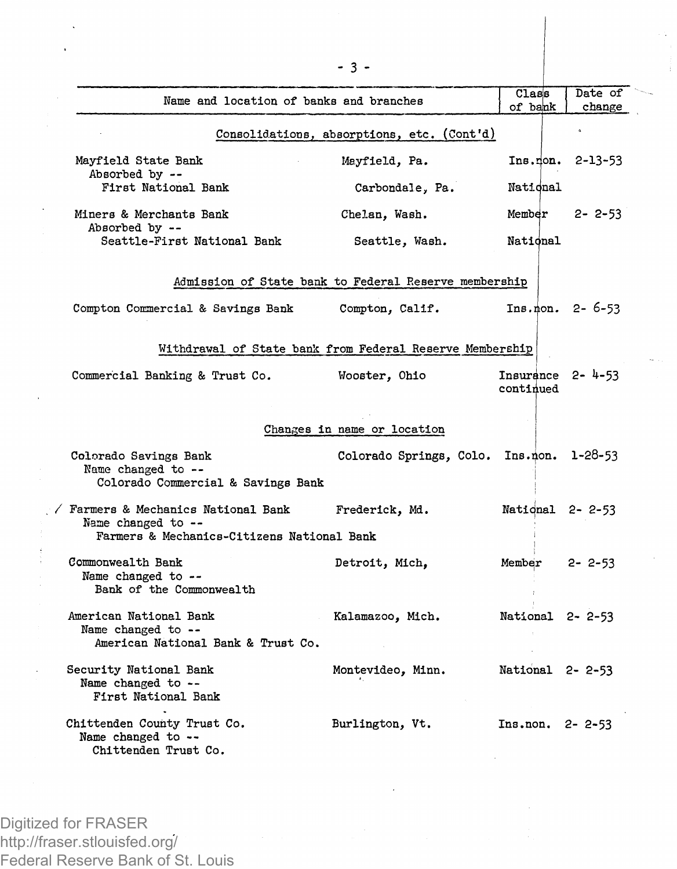| Name and location of banks and branches                                                                 |                                                          | Class<br>of bank                    | Date of<br>change     |  |  |  |  |
|---------------------------------------------------------------------------------------------------------|----------------------------------------------------------|-------------------------------------|-----------------------|--|--|--|--|
|                                                                                                         | Consolidations, absorptions, etc. (Cont'd)               |                                     |                       |  |  |  |  |
| Mayfield State Bank<br>Absorbed by --                                                                   | Mayfield, Pa.                                            |                                     | $Ins.$ non. $2-13-53$ |  |  |  |  |
| First National Bank                                                                                     | Carbondale, Pa.                                          | National                            |                       |  |  |  |  |
| Miners & Merchants Bank<br>Absorbed by --                                                               | Chelan, Wash.                                            | Member                              | $2 - 2 - 53$          |  |  |  |  |
| Seattle-First National Bank                                                                             | Seattle, Wash.                                           | National                            |                       |  |  |  |  |
|                                                                                                         | Admission of State bank to Federal Reserve membership    |                                     |                       |  |  |  |  |
| Compton Commercial & Savings Bank                                                                       | Compton, Calif.                                          |                                     | $Ins. non. 2 - 6-53$  |  |  |  |  |
|                                                                                                         | Withdrawal of State bank from Federal Reserve Membership |                                     |                       |  |  |  |  |
| Commercial Banking & Trust Co.                                                                          | Wooster, Ohio                                            | Insurance $2 - 4 - 53$<br>continued |                       |  |  |  |  |
| Changes in name or location                                                                             |                                                          |                                     |                       |  |  |  |  |
| Colorado Savings Bank<br>Name changed to --<br>Colorado Commercial & Savings Bank                       | Colorado Springs, Colo. Ins.non. 1-28-53                 |                                     |                       |  |  |  |  |
| / Farmers & Mechanics National Bank<br>Name changed to --<br>Farmers & Mechanics-Citizens National Bank | Frederick, Md.                                           | National 2-2-53                     |                       |  |  |  |  |
| Commonwealth Bank<br>Name changed to --<br>Bank of the Commonwealth                                     | Detroit, Mich.                                           | Member $2 - 2 - 53$                 |                       |  |  |  |  |
| American National Bank<br>Name changed to --<br>American National Bank & Trust Co.                      | Kalamazoo, Mich.                                         | National 2-2-53                     |                       |  |  |  |  |
| Security National Bank<br>Name changed to --<br>First National Bank                                     | Montevideo, Minn.                                        | National 2-2-53                     |                       |  |  |  |  |
| Chittenden County Trust Co.<br>Name changed to --<br>Chittenden Trust Co.                               | Burlington, Vt.                                          | Ins.non. 2-2-53                     |                       |  |  |  |  |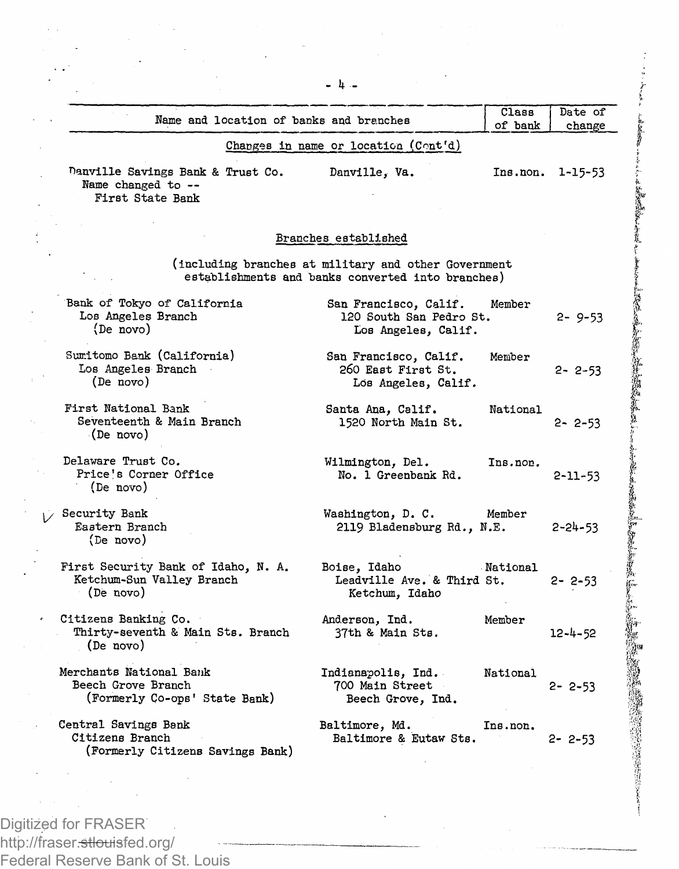|                                                                                |                                                                                                           | of bank  | change           |
|--------------------------------------------------------------------------------|-----------------------------------------------------------------------------------------------------------|----------|------------------|
|                                                                                | Changes in name or location (Cont'd)                                                                      |          |                  |
| Danville Savings Bank & Trust Co.<br>Name changed to --<br>First State Bank    | Danville, Va.                                                                                             |          | Ins.non. 1-15-53 |
|                                                                                | Branches established                                                                                      |          |                  |
|                                                                                |                                                                                                           |          |                  |
|                                                                                | (including branches at military and other Government<br>establishments and banks converted into branches) |          |                  |
| Bank of Tokyo of California<br>Los Angeles Branch<br>(De novo)                 | San Francisco, Calif.<br>120 South San Pedro St.<br>Los Angeles, Calif.                                   | Member   | $2 - 9 - 53$     |
| Sumitomo Bank (California)<br>Los Angeles Branch<br>(De novo)                  | San Francisco, Calif.<br>260 East First St.<br>Los Angeles, Calif.                                        | Member   | $2 - 2 - 53$     |
| First National Bank<br>Seventeenth & Main Branch<br>(De novo)                  | Santa Ana, Calif.<br>1520 North Main St.                                                                  | National | $2 - 2 - 53$     |
| Delaware Trust Co.<br>Price's Corner Office<br>(De novo)                       | Wilmington, Del.<br>No. 1 Greenbank Rd.                                                                   | Ins.non. | $2 - 11 - 53$    |
| √ Security Bank<br>Eastern Branch<br>(De novo)                                 | Washington, D. C.<br>2119 Bladensburg Rd., N.E.                                                           | Member   | $2 - 24 - 53$    |
| First Security Bank of Idaho, N. A.<br>Ketchum-Sun Valley Branch<br>(De novo)  | Boise, Idaho<br>Leadville Ave. & Third St.<br>Ketchum, Idaho                                              | National | $2 - 2 - 53$     |
| Citizens Banking Co.<br>Thirty-seventh & Main Sts. Branch<br>(De novo)         | Anderson, Ind.<br>37th & Main Sts.                                                                        | Member   | $12 - 4 - 52$    |
| Merchants National Bank<br>Beech Grove Branch<br>(Formerly Co-ops' State Bank) | Indianapolis, Ind.<br>700 Main Street<br>Beech Grove, Ind.                                                | National | $2 - 2 - 53$     |
| Central Savings Bank<br>Citizens Branch<br>(Formerly Citizens Savings Bank)    | Baltimore, Md.<br>Baltimore & Eutaw Sts.                                                                  | Ins.non. | $2 - 2 - 53$     |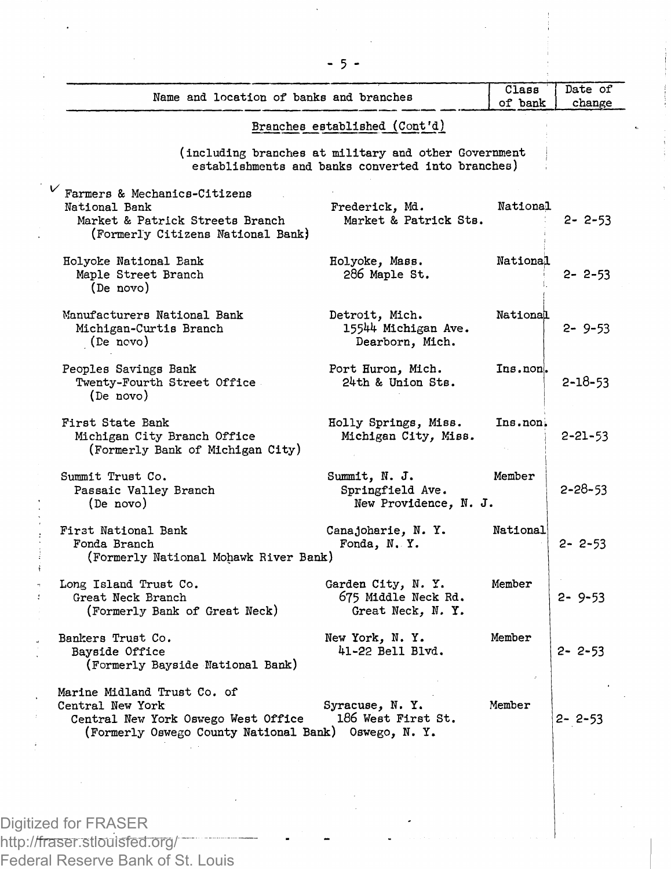| Name and location of banks and branches                                                                                                        |                                                                                                           | Сіавв<br>of bank | Date of<br>change |
|------------------------------------------------------------------------------------------------------------------------------------------------|-----------------------------------------------------------------------------------------------------------|------------------|-------------------|
|                                                                                                                                                | Branches established (Cont'd)                                                                             |                  |                   |
|                                                                                                                                                | (including branches at military and other Government<br>establishments and banks converted into branches) |                  |                   |
| Farmers & Mechanics-Citizens<br>National Bank<br>Market & Patrick Streets Branch<br>(Formerly Citizens National Bank)                          | Frederick, Md.<br>Market & Patrick Sts.                                                                   | National         | $2 - 2 - 53$      |
| Holyoke National Bank<br>Maple Street Branch<br>(De novo)                                                                                      | Holyoke, Mass.<br>286 Maple St.                                                                           | National         | $2 - 2 - 53$      |
| Manufacturers National Bank<br>Michigan-Curtis Branch<br>(De novo)                                                                             | Detroit, Mich.<br>15544 Michigan Ave.<br>Dearborn, Mich.                                                  | National         | $2 - 9 - 53$      |
| Peoples Savings Bank<br>Twenty-Fourth Street Office<br>(De novo)                                                                               | Port Huron, Mich.<br>24th & Union Sts.                                                                    | Ins.non.         | $2 - 18 - 53$     |
| First State Bank<br>Michigan City Branch Office<br>(Formerly Bank of Michigan City)                                                            | Holly Springs, Miss.<br>Michigan City, Miss.                                                              | Ins.non.         | $2 - 21 - 53$     |
| Summit Trust Co.<br>Passaic Valley Branch<br>(De novo)                                                                                         | Summit, N. J.<br>Springfield Ave.<br>New Providence, N. J.                                                | Member           | $2 - 28 - 53$     |
| First National Bank<br>Fonda Branch<br>(Formerly National Mohawk River Bank)                                                                   | Canajoharie, N.Y.<br>Fonda, N.Y.                                                                          | National         | $2 - 2 - 53$      |
| Long Island Trust Co.<br>Great Neck Branch<br>(Formerly Bank of Great Neck)                                                                    | Garden City, N. Y.<br>675 Middle Neck Rd.<br>Great Neck, N. Y.                                            | Member           | $2 - 9 - 53$      |
| Bankers Trust Co.<br>Bavside Office<br>(Formerly Bayside National Bank)                                                                        | New York, N.Y.<br>41-22 Bell Blvd.                                                                        | Member           | 2-2-53            |
| Marine Midland Trust Co. of<br>Central New York<br>Central New York Oswego West Office<br>(Formerly Oswego County National Bank) Oswego, N. Y. | Syracuse, N.Y.<br>186 West First St.                                                                      | Member           | 2-2-53            |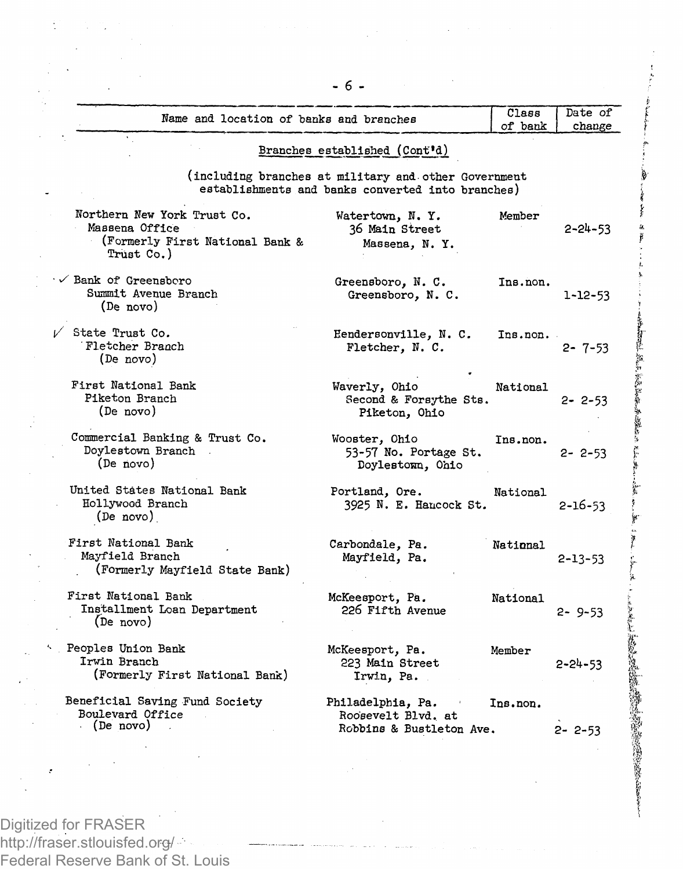|  | Name and location of banks and branches                                                        |                                                                                                           | Class<br>of bank | Date of<br>change |
|--|------------------------------------------------------------------------------------------------|-----------------------------------------------------------------------------------------------------------|------------------|-------------------|
|  |                                                                                                | Branches established (Cont'd)                                                                             |                  |                   |
|  |                                                                                                | (including branches at military and other Government<br>establishments and banks converted into branches) |                  |                   |
|  | Northern New York Trust Co.<br>Massena Office<br>(Formerly First National Bank &<br>Trust Co.) | Watertown, N.Y.<br>36 Main Street<br>Massena, N.Y.                                                        | Member           | 2-24-53           |
|  | Bank of Greensboro<br>Summit Avenue Branch<br>(De novo)                                        | Greensboro, N. C.<br>Greensboro, N. C.                                                                    | Ins.non.         | $1 - 12 - 53$     |
|  | State Trust Co.<br>Fletcher Branch<br>(De novo)                                                | Hendersonville, N. C.<br>Fletcher, N. C.                                                                  | Ins.non.         | $2 - 7 - 53$      |
|  | First National Bank<br>Piketon Branch<br>(De novo)                                             | Waverly, Ohio<br>Second & Forsythe Sts.<br>Piketon, Ohio                                                  | National         | $2 - 2 - 53$      |
|  | Commercial Banking & Trust Co.<br>Doylestown Branch<br>(De novo)                               | Wooster, Ohio<br>53-57 No. Portage St.<br>Doylestown, Ohio                                                | Ins.non.         | $2 - 2 - 53$      |
|  | United States National Bank<br>Hollywood Branch<br>(De novo)                                   | Portland, Ore.<br>3925 N. E. Hancock St.                                                                  | National         | $2 - 16 - 53$     |
|  | First National Bank<br>Mayfield Branch<br>(Formerly Mayfield State Bank)                       | Carbondale, Pa.<br>Mayfield, Pa.                                                                          | National         | $2 - 13 - 53$     |
|  | First National Bank<br>Installment Loan Department<br>(De novo)                                | McKeesport, Pa.<br>226 Fifth Avenue                                                                       | National         | $2 - 9 - 53$      |
|  | Peoples Union Bank<br>Irwin Branch<br>(Formerly First National Bank)                           | McKeesport, Pa.<br>223 Main Street<br>Irwin, Pa.                                                          | Member           | $2 - 24 - 53$     |
|  | Beneficial Saving Fund Society<br>Boulevard Office<br>$\cdot$ (De novo)                        | Philadelphia, Pa.<br>Roosevelt Blvd. at<br>Robbins & Bustleton Ave.                                       | Ins.non.         | $2 - 2 - 53$      |
|  |                                                                                                |                                                                                                           |                  |                   |

**BELLER** 

南京 (3) 不可可能 安全部 中国 たいまく

**PERSONAL PROPERTY** 

Digitized for FRASER http://fraser.stlouisfed.org/ Federal Reserve Bank of St. Louis

ś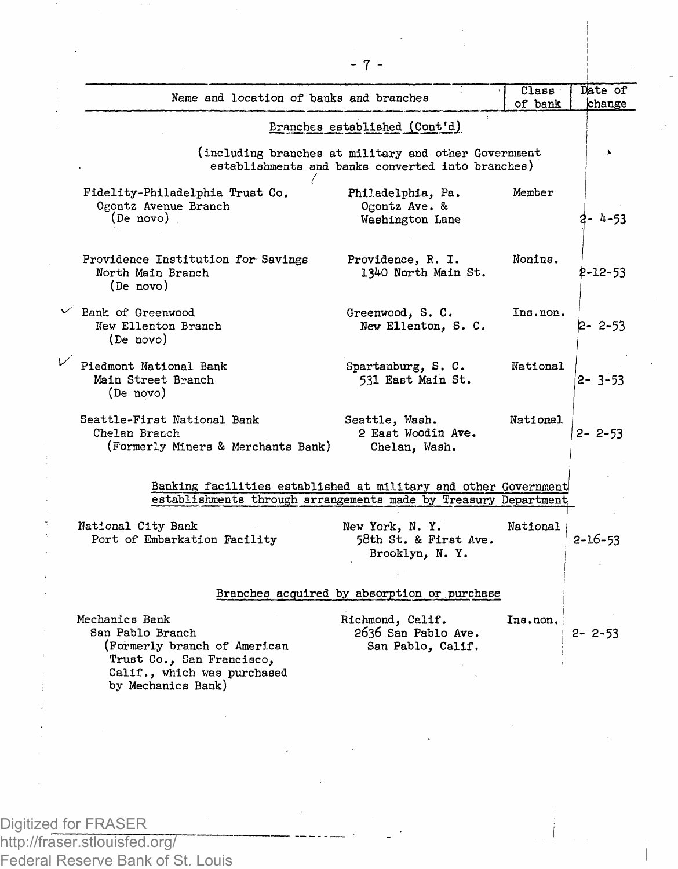| Name and location of banks and branches                                                                                                              |                                                              | Class<br>of bank | Date of<br>change |  |
|------------------------------------------------------------------------------------------------------------------------------------------------------|--------------------------------------------------------------|------------------|-------------------|--|
| Eranches established (Cont'd)                                                                                                                        |                                                              |                  |                   |  |
| (including branches at military and other Government<br>establishments and banks converted into branches)                                            |                                                              |                  |                   |  |
| Fidelity-Philadelphia Trust Co.<br>Ogontz Avenue Branch<br>(De novo)                                                                                 | Philadelphia, Pa.<br>Ogontz Ave. &<br>Washington Lane        | Member           | 2- 4-53           |  |
| Providence Institution for Savings<br>North Main Branch<br>(De novo)                                                                                 | Providence, R. I.<br>1340 North Main St.                     | Nonins.          | $2 - 12 - 53$     |  |
| $\vee$ Bank of Greenwood<br>New Ellenton Branch<br>(De novo)                                                                                         | Greenwood, S.C.<br>New Ellenton, S. C.                       | Ins.non.         | $2 - 2 - 53$      |  |
| Piedmont National Bank<br>Main Street Branch<br>(De novo)                                                                                            | Spartanburg, S. C.<br>531 East Main St.                      | National         | $2 - 3 - 53$      |  |
| Seattle-First National Bank<br>Chelan Branch<br>(Formerly Miners & Merchants Bank)                                                                   | Seattle, Wash.<br>2 East Woodin Ave.<br>Chelan, Wash.        | National         | $2 - 2 - 53$      |  |
| Banking facilities established at military and other Government<br>establishments through arrangements made by Treasury Department                   |                                                              |                  |                   |  |
| National City Bank<br>Port of Embarkation Facility                                                                                                   | New York, N.Y.<br>58th St. & First Ave.<br>Brooklyn, N.Y.    | National         | $2 - 16 - 53$     |  |
|                                                                                                                                                      | Branches acquired by absorption or purchase                  |                  |                   |  |
| Mechanics Bank<br>San Pablo Branch<br>(Formerly branch of American<br>Trust Co., San Francisco,<br>Calif., which was purchased<br>by Mechanics Bank) | Richmond, Calif.<br>2636 San Pablo Ave.<br>San Pablo, Calif. | Ins.non.         | $2 - 2 - 53$      |  |
|                                                                                                                                                      |                                                              |                  |                   |  |

- 7 -

Digitized for FRASER

http://fraser.stlouisfed.org/ Federal Reserve Bank of St. Louis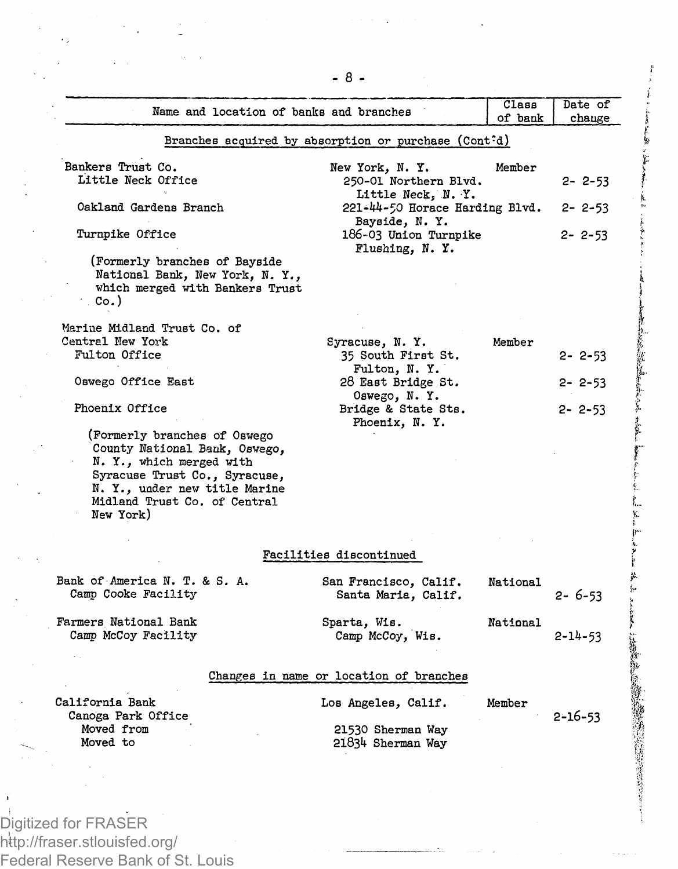| Name and location of banks and branches                                                                                                                                                                  |                                                                   | Class<br>of bank | Date of<br>change |
|----------------------------------------------------------------------------------------------------------------------------------------------------------------------------------------------------------|-------------------------------------------------------------------|------------------|-------------------|
|                                                                                                                                                                                                          | Branches acquired by absorption or purchase (Cont <sup>o</sup> d) |                  |                   |
| Bankers Trust Co.                                                                                                                                                                                        | New York, N.Y.                                                    | Member           |                   |
| Little Neck Office                                                                                                                                                                                       | 250-01 Northern Blvd.<br>Little Neck, N. Y.                       |                  | $2 - 2 - 53$      |
| Oakland Gardens Branch                                                                                                                                                                                   | 221-44-50 Horace Harding Blvd.<br>Bayside, N.Y.                   |                  | $2 - 2 - 53$      |
| Turnpike Office                                                                                                                                                                                          | 186-03 Union Turnpike<br>Flushing, N.Y.                           |                  | $2 - 2 - 53$      |
| (Formerly branches of Bayside                                                                                                                                                                            |                                                                   |                  |                   |
| National Bank, New York, N. Y.,<br>which merged with Bankers Trust                                                                                                                                       |                                                                   |                  |                   |
| Co.                                                                                                                                                                                                      |                                                                   |                  |                   |
| Marine Midland Trust Co. of                                                                                                                                                                              |                                                                   |                  |                   |
| Central New York                                                                                                                                                                                         | Syracuse, N.Y.                                                    | Member           |                   |
| Fulton Office                                                                                                                                                                                            | 35 South First St.<br>Fulton, N.Y.                                |                  | $2 - 2 - 53$      |
| Oswego Office East                                                                                                                                                                                       | 28 East Bridge St.<br>Oswego, N.Y.                                |                  | 2-2-53            |
| Phoenix Office                                                                                                                                                                                           | Bridge & State Sts.<br>Phoenix, N.Y.                              |                  | $2 - 2 - 53$      |
| (Formerly branches of Oswego<br>County National Bank, Osvego,<br>N. Y., which merged with<br>Syracuse Trust Co., Syracuse,<br>N. Y., under new title Marine<br>Midland Trust Co. of Central<br>New York) |                                                                   |                  |                   |
|                                                                                                                                                                                                          | Facilities discontinued                                           |                  |                   |
| Bank of America N. T. & S. A.                                                                                                                                                                            | San Francisco, Calif.                                             | National         |                   |
| Camp Cooke Facility                                                                                                                                                                                      | Santa Maria, Calif.                                               |                  | $2 - 6 - 53$      |
| Farmers National Bank                                                                                                                                                                                    | Sparta, Wis.                                                      | National         |                   |
| Camp McCoy Facility                                                                                                                                                                                      | Camp McCoy, Wis.                                                  |                  | $2 - 14 - 53$     |
|                                                                                                                                                                                                          | Changes in name or location of branches                           |                  |                   |
| California Bank                                                                                                                                                                                          | Los Angeles, Calif.                                               | Member           |                   |
| Canoga Park Office                                                                                                                                                                                       |                                                                   |                  | $2 - 16 - 53$     |
| Moved from<br>Moved to                                                                                                                                                                                   | 21530 Sherman Way<br>21834 Sherman Way                            |                  |                   |
|                                                                                                                                                                                                          |                                                                   |                  |                   |